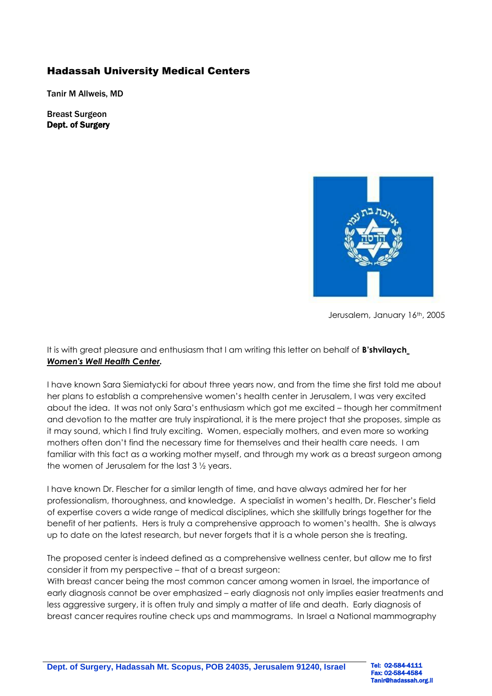## Hadassah University Medical Centers

Tanir M Allweis, MD

Breast Surgeon Dept. of Surgery



Jerusalem, January 16th, 2005

It is with great pleasure and enthusiasm that I am writing this letter on behalf of **B'shvilaych** *Women's Well Health Center.*

I have known Sara Siemiatycki for about three years now, and from the time she first told me about her plans to establish a comprehensive women's health center in Jerusalem, I was very excited about the idea. It was not only Sara's enthusiasm which got me excited – though her commitment and devotion to the matter are truly inspirational, it is the mere project that she proposes, simple as it may sound, which I find truly exciting. Women, especially mothers, and even more so working mothers often don't find the necessary time for themselves and their health care needs. I am familiar with this fact as a working mother myself, and through my work as a breast surgeon among the women of Jerusalem for the last 3 ½ years.

I have known Dr. Flescher for a similar length of time, and have always admired her for her professionalism, thoroughness, and knowledge. A specialist in women's health, Dr. Flescher's field of expertise covers a wide range of medical disciplines, which she skillfully brings together for the benefit of her patients. Hers is truly a comprehensive approach to women's health. She is always up to date on the latest research, but never forgets that it is a whole person she is treating.

The proposed center is indeed defined as a comprehensive wellness center, but allow me to first consider it from my perspective – that of a breast surgeon:

With breast cancer being the most common cancer among women in Israel, the importance of early diagnosis cannot be over emphasized – early diagnosis not only implies easier treatments and less aggressive surgery, it is often truly and simply a matter of life and death. Early diagnosis of breast cancer requires routine check ups and mammograms. In Israel a National mammography

Fax: 02-584-4584 Tanir@hadassah.org.il